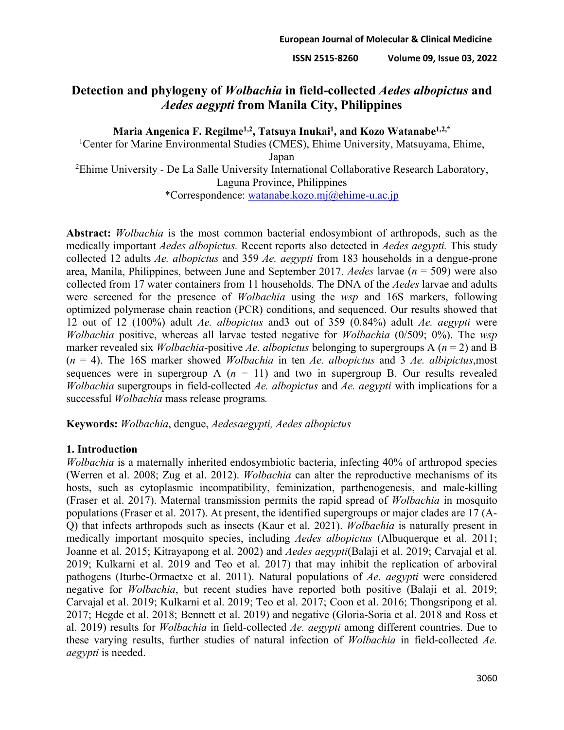# **Detection and phylogeny of** *Wolbachia* **in field-collected** *Aedes albopictus* **and**  *Aedes aegypti* **from Manila City, Philippines**

Maria Angenica F. Regilme<sup>1,2</sup>, Tatsuya Inukai<sup>1</sup>, and Kozo Watanabe<sup>1,2,\*</sup>

<sup>1</sup>Center for Marine Environmental Studies (CMES), Ehime University, Matsuyama, Ehime, Japan <sup>2</sup>Ehime University - De La Salle University International Collaborative Research Laboratory, Laguna Province, Philippines

\*Correspondence: [watanabe.kozo.mj@ehime-u.ac.jp](mailto:watanabe.kozo.mj@ehime-u.ac.jp)

**Abstract:** *Wolbachia* is the most common bacterial endosymbiont of arthropods, such as the medically important *Aedes albopictus.* Recent reports also detected in *Aedes aegypti.* This study collected 12 adults *Ae. albopictus* and 359 *Ae. aegypti* from 183 households in a dengue-prone area, Manila, Philippines, between June and September 2017. *Aedes* larvae (*n* = 509) were also collected from 17 water containers from 11 households. The DNA of the *Aedes* larvae and adults were screened for the presence of *Wolbachia* using the *wsp* and 16S markers, following optimized polymerase chain reaction (PCR) conditions, and sequenced. Our results showed that 12 out of 12 (100%) adult *Ae. albopictus* and3 out of 359 (0.84%) adult *Ae. aegypti* were *Wolbachia* positive, whereas all larvae tested negative for *Wolbachia* (0/509; 0%). The *wsp* marker revealed six *Wolbachia-*positive *Ae. albopictus* belonging to supergroups A (*n* = 2) and B (*n* = 4). The 16S marker showed *Wolbachia* in ten *Ae. albopictus* and 3 *Ae. albipictus*,most sequences were in supergroup A  $(n = 11)$  and two in supergroup B. Our results revealed *Wolbachia* supergroups in field-collected *Ae. albopictus* and *Ae. aegypti* with implications for a successful *Wolbachia* mass release programs*.*

**Keywords:** *Wolbachia*, dengue, *Aedesaegypti, Aedes albopictus*

## **1. Introduction**

*Wolbachia* is a maternally inherited endosymbiotic bacteria, infecting 40% of arthropod species (Werren et al. 2008; Zug et al. 2012). *Wolbachia* can alter the reproductive mechanisms of its hosts, such as cytoplasmic incompatibility, feminization, parthenogenesis, and male-killing (Fraser et al. 2017). Maternal transmission permits the rapid spread of *Wolbachia* in mosquito populations (Fraser et al. 2017). At present, the identified supergroups or major clades are 17 (A-Q) that infects arthropods such as insects (Kaur et al. 2021). *Wolbachia* is naturally present in medically important mosquito species, including *Aedes albopictus* (Albuquerque et al. 2011; Joanne et al. 2015; Kitrayapong et al. 2002) and *Aedes aegypti*(Balaji et al. 2019; Carvajal et al. 2019; Kulkarni et al. 2019 and Teo et al. 2017) that may inhibit the replication of arboviral pathogens (Iturbe-Ormaetxe et al. 2011). Natural populations of *Ae. aegypti* were considered negative for *Wolbachia*, but recent studies have reported both positive (Balaji et al. 2019; Carvajal et al. 2019; Kulkarni et al. 2019; Teo et al. 2017; Coon et al. 2016; Thongsripong et al. 2017; Hegde et al. 2018; Bennett et al. 2019) and negative (Gloria-Soria et al. 2018 and Ross et al. 2019) results for *Wolbachia* in field-collected *Ae. aegypti* among different countries. Due to these varying results, further studies of natural infection of *Wolbachia* in field-collected *Ae. aegypti* is needed.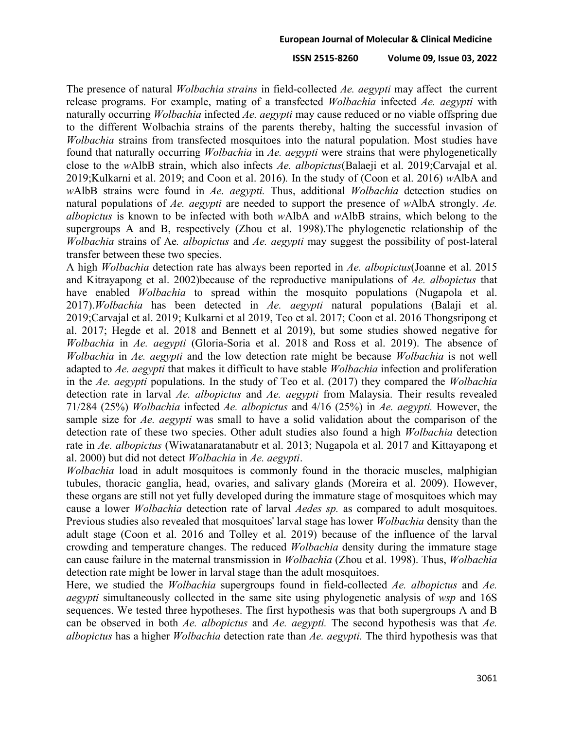## **ISSN 2515-8260 Volume 09, Issue 03, 2022**

The presence of natural *Wolbachia strains* in field-collected *Ae. aegypti* may affect the current release programs. For example, mating of a transfected *Wolbachia* infected *Ae. aegypti* with naturally occurring *Wolbachia* infected *Ae. aegypti* may cause reduced or no viable offspring due to the different Wolbachia strains of the parents thereby, halting the successful invasion of *Wolbachia* strains from transfected mosquitoes into the natural population. Most studies have found that naturally occurring *Wolbachia* in *Ae. aegypti* were strains that were phylogenetically close to the *w*AlbB strain, which also infects *Ae. albopictus*(Balaeji et al. 2019;Carvajal et al. 2019;Kulkarni et al. 2019; and Coon et al. 2016)*.* In the study of (Coon et al. 2016) *w*AlbA and *w*AlbB strains were found in *Ae. aegypti.* Thus, additional *Wolbachia* detection studies on natural populations of *Ae. aegypti* are needed to support the presence of *w*AlbA strongly. *Ae. albopictus* is known to be infected with both *w*AlbA and *w*AlbB strains, which belong to the supergroups A and B, respectively (Zhou et al. 1998).The phylogenetic relationship of the *Wolbachia* strains of Ae*. albopictus* and *Ae. aegypti* may suggest the possibility of post-lateral transfer between these two species.

A high *Wolbachia* detection rate has always been reported in *Ae. albopictus*(Joanne et al. 2015 and Kitrayapong et al. 2002)because of the reproductive manipulations of *Ae. albopictus* that have enabled *Wolbachia* to spread within the mosquito populations (Nugapola et al. 2017).*Wolbachia* has been detected in *Ae. aegypti* natural populations (Balaji et al. 2019;Carvajal et al. 2019; Kulkarni et al 2019, Teo et al. 2017; Coon et al. 2016 Thongsripong et al. 2017; Hegde et al. 2018 and Bennett et al 2019), but some studies showed negative for *Wolbachia* in *Ae. aegypti* (Gloria-Soria et al. 2018 and Ross et al. 2019). The absence of *Wolbachia* in *Ae. aegypti* and the low detection rate might be because *Wolbachia* is not well adapted to *Ae. aegypti* that makes it difficult to have stable *Wolbachia* infection and proliferation in the *Ae. aegypti* populations. In the study of Teo et al. (2017) they compared the *Wolbachia*  detection rate in larval *Ae. albopictus* and *Ae. aegypti* from Malaysia. Their results revealed 71/284 (25%) *Wolbachia* infected *Ae. albopictus* and 4/16 (25%) in *Ae. aegypti.* However, the sample size for *Ae. aegypti* was small to have a solid validation about the comparison of the detection rate of these two species. Other adult studies also found a high *Wolbachia* detection rate in *Ae. albopictus* (Wiwatanaratanabutr et al. 2013; Nugapola et al. 2017 and Kittayapong et al. 2000) but did not detect *Wolbachia* in *Ae. aegypti*.

*Wolbachia* load in adult mosquitoes is commonly found in the thoracic muscles, malphigian tubules, thoracic ganglia, head, ovaries, and salivary glands (Moreira et al. 2009). However, these organs are still not yet fully developed during the immature stage of mosquitoes which may cause a lower *Wolbachia* detection rate of larval *Aedes sp.* as compared to adult mosquitoes. Previous studies also revealed that mosquitoes' larval stage has lower *Wolbachia* density than the adult stage (Coon et al. 2016 and Tolley et al. 2019) because of the influence of the larval crowding and temperature changes. The reduced *Wolbachia* density during the immature stage can cause failure in the maternal transmission in *Wolbachia* (Zhou et al. 1998). Thus, *Wolbachia*  detection rate might be lower in larval stage than the adult mosquitoes.

Here, we studied the *Wolbachia* supergroups found in field-collected *Ae. albopictus* and *Ae. aegypti* simultaneously collected in the same site using phylogenetic analysis of *wsp* and 16S sequences. We tested three hypotheses. The first hypothesis was that both supergroups A and B can be observed in both *Ae. albopictus* and *Ae. aegypti.* The second hypothesis was that *Ae. albopictus* has a higher *Wolbachia* detection rate than *Ae. aegypti.* The third hypothesis was that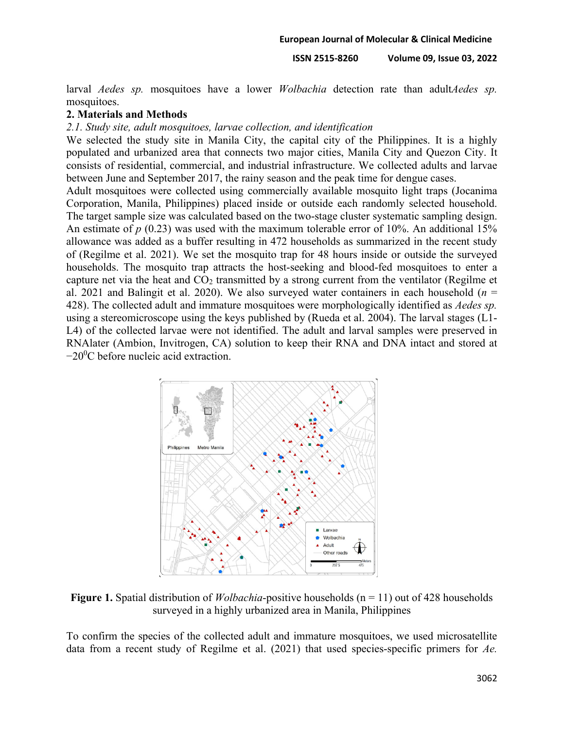larval *Aedes sp.* mosquitoes have a lower *Wolbachia* detection rate than adult*Aedes sp.*  mosquitoes.

## **2. Materials and Methods**

## *2.1. Study site, adult mosquitoes, larvae collection, and identification*

We selected the study site in Manila City, the capital city of the Philippines. It is a highly populated and urbanized area that connects two major cities, Manila City and Quezon City. It consists of residential, commercial, and industrial infrastructure. We collected adults and larvae between June and September 2017, the rainy season and the peak time for dengue cases.

Adult mosquitoes were collected using commercially available mosquito light traps (Jocanima Corporation, Manila, Philippines) placed inside or outside each randomly selected household. The target sample size was calculated based on the two-stage cluster systematic sampling design. An estimate of *p* (0.23) was used with the maximum tolerable error of 10%. An additional 15% allowance was added as a buffer resulting in 472 households as summarized in the recent study of (Regilme et al. 2021). We set the mosquito trap for 48 hours inside or outside the surveyed households. The mosquito trap attracts the host-seeking and blood-fed mosquitoes to enter a capture net via the heat and  $CO<sub>2</sub>$  transmitted by a strong current from the ventilator (Regilme et al. 2021 and Balingit et al. 2020). We also surveyed water containers in each household (*n* = 428). The collected adult and immature mosquitoes were morphologically identified as *Aedes sp.* using a stereomicroscope using the keys published by (Rueda et al. 2004). The larval stages (L1- L4) of the collected larvae were not identified. The adult and larval samples were preserved in RNAlater (Ambion, Invitrogen, CA) solution to keep their RNA and DNA intact and stored at  $-20$ <sup>o</sup>C before nucleic acid extraction.



**Figure 1.** Spatial distribution of *Wolbachia*-positive households (n = 11) out of 428 households surveyed in a highly urbanized area in Manila, Philippines

To confirm the species of the collected adult and immature mosquitoes, we used microsatellite data from a recent study of Regilme et al. (2021) that used species-specific primers for *Ae.*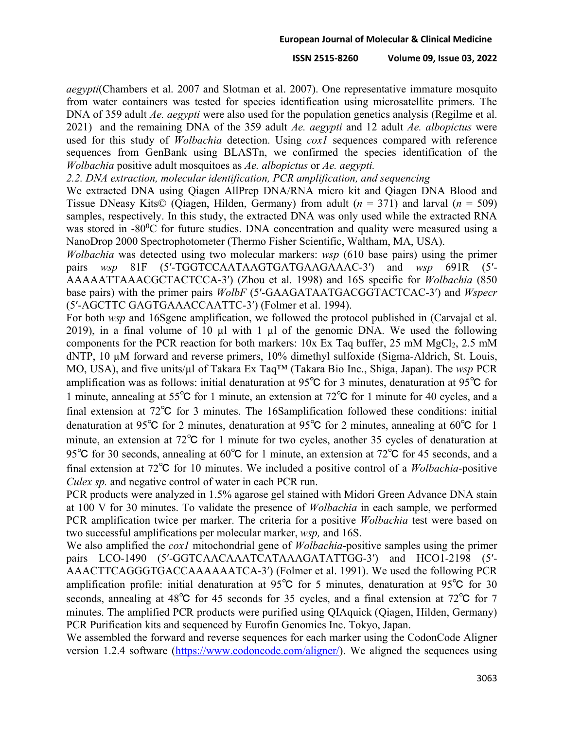### **ISSN 2515-8260 Volume 09, Issue 03, 2022**

*aegypti*(Chambers et al. 2007 and Slotman et al. 2007). One representative immature mosquito from water containers was tested for species identification using microsatellite primers. The DNA of 359 adult *Ae. aegypti* were also used for the population genetics analysis (Regilme et al. 2021) and the remaining DNA of the 359 adult *Ae. aegypti* and 12 adult *Ae. albopictus* were used for this study of *Wolbachia* detection. Using *cox1* sequences compared with reference sequences from GenBank using BLASTn, we confirmed the species identification of the *Wolbachia* positive adult mosquitoes as *Ae. albopictus* or *Ae. aegypti.*

*2.2. DNA extraction, molecular identification, PCR amplification, and sequencing*

We extracted DNA using Qiagen AllPrep DNA/RNA micro kit and Qiagen DNA Blood and Tissue DNeasy Kits© (Qiagen, Hilden, Germany) from adult (*n* = 371) and larval (*n* = 509) samples, respectively. In this study, the extracted DNA was only used while the extracted RNA was stored in -80 $\mathrm{^{0}C}$  for future studies. DNA concentration and quality were measured using a NanoDrop 2000 Spectrophotometer (Thermo Fisher Scientific, Waltham, MA, USA).

*Wolbachia* was detected using two molecular markers: *wsp* (610 base pairs) using the primer pairs *wsp* 81F (5′-TGGTCCAATAAGTGATGAAGAAAC-3′) and *wsp* 691R (5′- AAAAATTAAACGCTACTCCA-3′) (Zhou et al. 1998) and 16S specific for *Wolbachia* (850 base pairs) with the primer pairs *WolbF* (5′-GAAGATAATGACGGTACTCAC-3′) and *Wspecr*  (5′-AGCTTC GAGTGAAACCAATTC-3′) (Folmer et al. 1994).

For both *wsp* and 16Sgene amplification, we followed the protocol published in (Carvajal et al. 2019), in a final volume of 10 µl with 1 µl of the genomic DNA. We used the following components for the PCR reaction for both markers:  $10x$  Ex Taq buffer, 25 mM MgCl<sub>2</sub>, 2.5 mM dNTP, 10 µM forward and reverse primers, 10% dimethyl sulfoxide (Sigma-Aldrich, St. Louis, MO, USA), and five units/µl of Takara Ex Taq™ (Takara Bio Inc., Shiga, Japan). The *wsp* PCR amplification was as follows: initial denaturation at 95℃ for 3 minutes, denaturation at 95℃ for 1 minute, annealing at 55℃ for 1 minute, an extension at 72℃ for 1 minute for 40 cycles, and a final extension at 72℃ for 3 minutes. The 16Samplification followed these conditions: initial denaturation at 95℃ for 2 minutes, denaturation at 95℃ for 2 minutes, annealing at 60℃ for 1 minute, an extension at 72℃ for 1 minute for two cycles, another 35 cycles of denaturation at 95<sup>°</sup>C for 30 seconds, annealing at 60<sup>°</sup>C for 1 minute, an extension at 72<sup>°</sup>C for 45 seconds, and a final extension at 72℃ for 10 minutes. We included a positive control of a *Wolbachia-*positive *Culex sp.* and negative control of water in each PCR run.

PCR products were analyzed in 1.5% agarose gel stained with Midori Green Advance DNA stain at 100 V for 30 minutes. To validate the presence of *Wolbachia* in each sample, we performed PCR amplification twice per marker. The criteria for a positive *Wolbachia* test were based on two successful amplifications per molecular marker, *wsp,* and 16S.

We also amplified the *cox1* mitochondrial gene of *Wolbachia*-positive samples using the primer pairs LCO-1490 (5'-GGTCAACAAATCATAAAGATATTGG-3') and HCO1-2198 (5'-AAACTTCAGGGTGACCAAAAAATCA-3′) (Folmer et al. 1991). We used the following PCR amplification profile: initial denaturation at 95℃ for 5 minutes, denaturation at 95℃ for 30 seconds, annealing at 48<sup>°</sup>C for 45 seconds for 35 cycles, and a final extension at 72<sup>°</sup>C for 7 minutes. The amplified PCR products were purified using QIAquick (Qiagen, Hilden, Germany) PCR Purification kits and sequenced by Eurofin Genomics Inc. Tokyo, Japan.

We assembled the forward and reverse sequences for each marker using the CodonCode Aligner version 1.2.4 software [\(https://www.codoncode.com/aligner/\)](https://www.codoncode.com/aligner/). We aligned the sequences using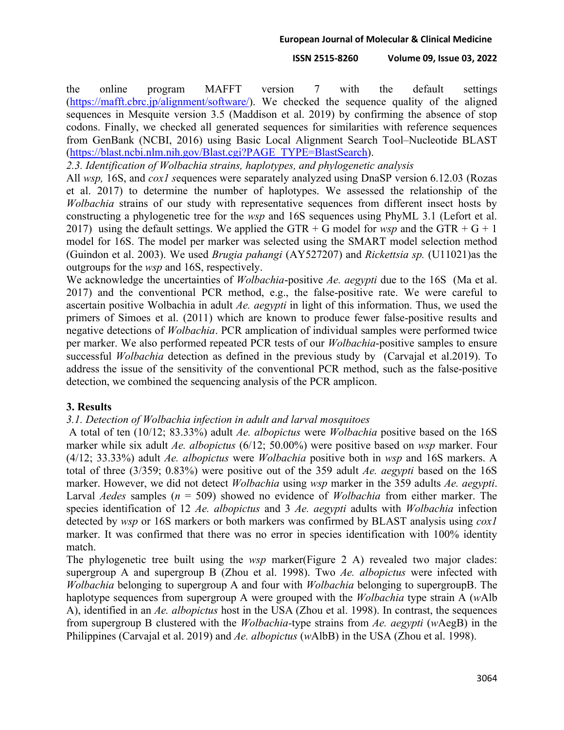the online program MAFFT version 7 with the default settings [\(https://mafft.cbrc.jp/alignment/software/\)](https://mafft.cbrc.jp/alignment/software/). We checked the sequence quality of the aligned sequences in Mesquite version 3.5 (Maddison et al. 2019) by confirming the absence of stop codons. Finally, we checked all generated sequences for similarities with reference sequences from GenBank (NCBI, 2016) using Basic Local Alignment Search Tool–Nucleotide BLAST [\(https://blast.ncbi.nlm.nih.gov/Blast.cgi?PAGE\\_TYPE=BlastSearch\)](https://blast.ncbi.nlm.nih.gov/Blast.cgi?PAGE_TYPE=BlastSearch).

*2.3. Identification of Wolbachia strains, haplotypes, and phylogenetic analysis*

All *wsp,* 16S, and *cox1 s*equences were separately analyzed using DnaSP version 6.12.03 (Rozas et al. 2017) to determine the number of haplotypes. We assessed the relationship of the *Wolbachia* strains of our study with representative sequences from different insect hosts by constructing a phylogenetic tree for the *wsp* and 16S sequences using PhyML 3.1 (Lefort et al. 2017) using the default settings. We applied the GTR + G model for *wsp* and the GTR + G + 1 model for 16S. The model per marker was selected using the SMART model selection method (Guindon et al. 2003). We used *Brugia pahangi* (AY527207) and *Rickettsia sp.* (U11021)as the outgroups for the *wsp* and 16S, respectively.

We acknowledge the uncertainties of *Wolbachia*-positive *Ae. aegypti* due to the 16S (Ma et al. 2017) and the conventional PCR method, e.g., the false-positive rate. We were careful to ascertain positive Wolbachia in adult *Ae. aegypti* in light of this information. Thus, we used the primers of Simoes et al. (2011) which are known to produce fewer false-positive results and negative detections of *Wolbachia*. PCR amplication of individual samples were performed twice per marker. We also performed repeated PCR tests of our *Wolbachia*-positive samples to ensure successful *Wolbachia* detection as defined in the previous study by (Carvajal et al.2019). To address the issue of the sensitivity of the conventional PCR method, such as the false-positive detection, we combined the sequencing analysis of the PCR amplicon.

## **3. Results**

## *3.1. Detection of Wolbachia infection in adult and larval mosquitoes*

A total of ten (10/12; 83.33%) adult *Ae. albopictus* were *Wolbachia* positive based on the 16S marker while six adult *Ae. albopictus* (6/12; 50.00%) were positive based on *wsp* marker. Four (4/12; 33.33%) adult *Ae. albopictus* were *Wolbachia* positive both in *wsp* and 16S markers. A total of three (3/359; 0.83%) were positive out of the 359 adult *Ae. aegypti* based on the 16S marker. However, we did not detect *Wolbachia* using *wsp* marker in the 359 adults *Ae. aegypti*. Larval *Aedes* samples (*n* = 509) showed no evidence of *Wolbachia* from either marker. The species identification of 12 *Ae. albopictus* and 3 *Ae. aegypti* adults with *Wolbachia* infection detected by *wsp* or 16S markers or both markers was confirmed by BLAST analysis using *cox1* marker. It was confirmed that there was no error in species identification with 100% identity match.

The phylogenetic tree built using the *wsp* marker(Figure 2 A) revealed two major clades: supergroup A and supergroup B (Zhou et al. 1998). Two *Ae. albopictus* were infected with *Wolbachia* belonging to supergroup A and four with *Wolbachia* belonging to supergroupB. The haplotype sequences from supergroup A were grouped with the *Wolbachia* type strain A (*w*Alb A), identified in an *Ae. albopictus* host in the USA (Zhou et al. 1998). In contrast, the sequences from supergroup B clustered with the *Wolbachia-*type strains from *Ae. aegypti* (*w*AegB) in the Philippines (Carvajal et al. 2019) and *Ae. albopictus* (*w*AlbB) in the USA (Zhou et al. 1998).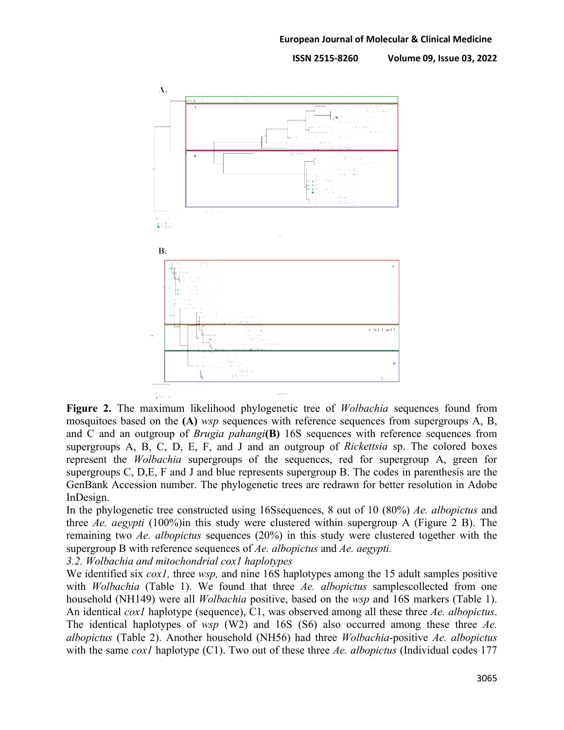

**Figure 2.** The maximum likelihood phylogenetic tree of *Wolbachia* sequences found from mosquitoes based on the **(A)** *wsp* sequences with reference sequences from supergroups A, B, and C and an outgroup of *Brugia pahangi***(B)** 16S sequences with reference sequences from supergroups A, B, C, D, E, F, and J and an outgroup of *Rickettsia* sp. The colored boxes represent the *Wolbachia* supergroups of the sequences, red for supergroup A, green for supergroups C, D,E, F and J and blue represents supergroup B. The codes in parenthesis are the GenBank Accession number. The phylogenetic trees are redrawn for better resolution in Adobe InDesign.

In the phylogenetic tree constructed using 16Ssequences, 8 out of 10 (80%) *Ae. albopictus* and three *Ae. aegypti* (100%)in this study were clustered within supergroup A (Figure 2 B). The remaining two *Ae. albopictus* sequences (20%) in this study were clustered together with the supergroup B with reference sequences of *Ae. albopictus* and *Ae. aegypti.* 

*3.2. Wolbachia and mitochondrial cox1 haplotypes*

We identified six *cox1,* three *wsp,* and nine 16S haplotypes among the 15 adult samples positive with *Wolbachia* (Table 1). We found that three *Ae. albopictus* samplescollected from one household (NH149) were all *Wolbachia* positive, based on the *wsp* and 16S markers (Table 1). An identical *cox1* haplotype (sequence), C1, was observed among all these three *Ae. albopictus*. The identical haplotypes of *wsp* (W2) and 16S (S6) also occurred among these three *Ae. albopictus* (Table 2). Another household (NH56) had three *Wolbachia*-positive *Ae. albopictus* with the same *cox1* haplotype (C1). Two out of these three *Ae. albopictus* (Individual codes 177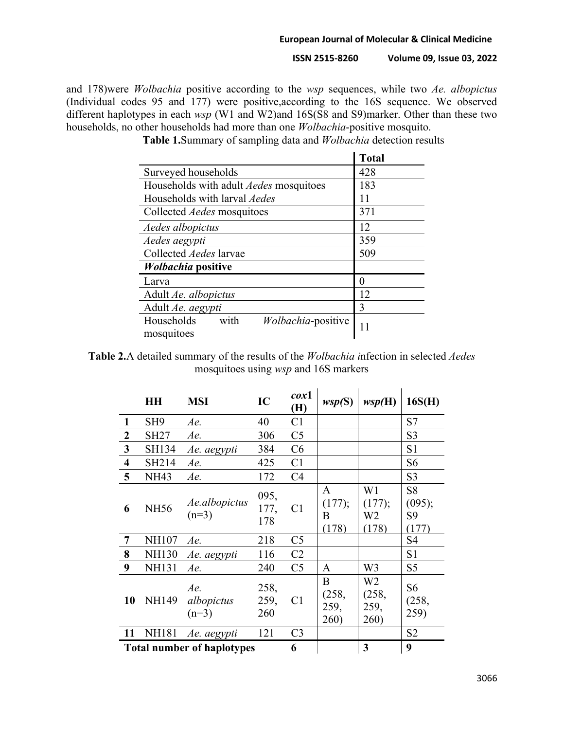**ISSN 2515-8260 Volume 09, Issue 03, 2022**

and 178)were *Wolbachia* positive according to the *wsp* sequences, while two *Ae. albopictus* (Individual codes 95 and 177) were positive,according to the 16S sequence. We observed different haplotypes in each *wsp* (W1 and W2)and 16S(S8 and S9)marker. Other than these two households, no other households had more than one *Wolbachia*-positive mosquito.

|                                                        | <b>Total</b> |
|--------------------------------------------------------|--------------|
| Surveyed households                                    | 428          |
| Households with adult <i>Aedes</i> mosquitoes          | 183          |
| Households with larval <i>Aedes</i>                    | 11           |
| Collected Aedes mosquitoes                             | 371          |
| Aedes albopictus                                       | 12           |
| Aedes aegypti                                          | 359          |
| Collected <i>Aedes</i> larvae                          | 509          |
| <i>Wolbachia</i> positive                              |              |
| Larva                                                  | 0            |
| Adult Ae. albopictus                                   | 12           |
| Adult Ae. aegypti                                      | 3            |
| with<br>Wolbachia-positive<br>Households<br>mosquitoes |              |

**Table 1.**Summary of sampling data and *Wolbachia* detection results

**Table 2.**A detailed summary of the results of the *Wolbachia i*nfection in selected *Aedes* mosquitoes using *wsp* and 16S markers

|                                   | HH              | <b>MSI</b>                   | IC                  | $\cos 1$<br>(H) | wsp(S)                     | wsp(H)                                  | 16S(H)                                              |
|-----------------------------------|-----------------|------------------------------|---------------------|-----------------|----------------------------|-----------------------------------------|-----------------------------------------------------|
| 1                                 | SH <sub>9</sub> | Ae.                          | 40                  | C <sub>1</sub>  |                            |                                         | S7                                                  |
| $\boldsymbol{2}$                  | <b>SH27</b>     | Ae.                          | 306                 | C <sub>5</sub>  |                            |                                         | S <sub>3</sub>                                      |
| 3                                 | SH134           | Ae. aegypti                  | 384                 | C6              |                            |                                         | S <sub>1</sub>                                      |
| $\overline{\mathbf{4}}$           | SH214           | Ae.                          | 425                 | C1              |                            |                                         | S <sub>6</sub>                                      |
| 5                                 | <b>NH43</b>     | Ae.                          | 172                 | C <sub>4</sub>  |                            |                                         | S <sub>3</sub>                                      |
| 6                                 | <b>NH56</b>     | Ae.albopictus<br>$(n=3)$     | 095,<br>177,<br>178 | C <sub>1</sub>  | A<br>(177);<br>B<br>(178)  | W1<br>(177);<br>W <sub>2</sub><br>(178) | S <sub>8</sub><br>(095);<br>S <sub>9</sub><br>(177) |
| 7                                 | NH107           | Ae.                          | 218                 | C <sub>5</sub>  |                            |                                         | S4                                                  |
| 8                                 | <b>NH130</b>    | Ae. aegypti                  | 116                 | C <sub>2</sub>  |                            |                                         | S1                                                  |
| 9                                 | <b>NH131</b>    | Ae.                          | 240                 | C <sub>5</sub>  | A                          | W <sub>3</sub>                          | S5                                                  |
| 10                                | <b>NH149</b>    | Ae.<br>albopictus<br>$(n=3)$ | 258,<br>259,<br>260 | C <sub>1</sub>  | B<br>(258,<br>259,<br>260) | W2<br>(258,<br>259,<br>260)             | S6<br>(258,<br>259)                                 |
| 11                                | <b>NH181</b>    | Ae. aegypti                  | 121                 | C <sub>3</sub>  |                            |                                         | S <sub>2</sub>                                      |
| <b>Total number of haplotypes</b> |                 |                              |                     | 6               |                            | 3                                       | 9                                                   |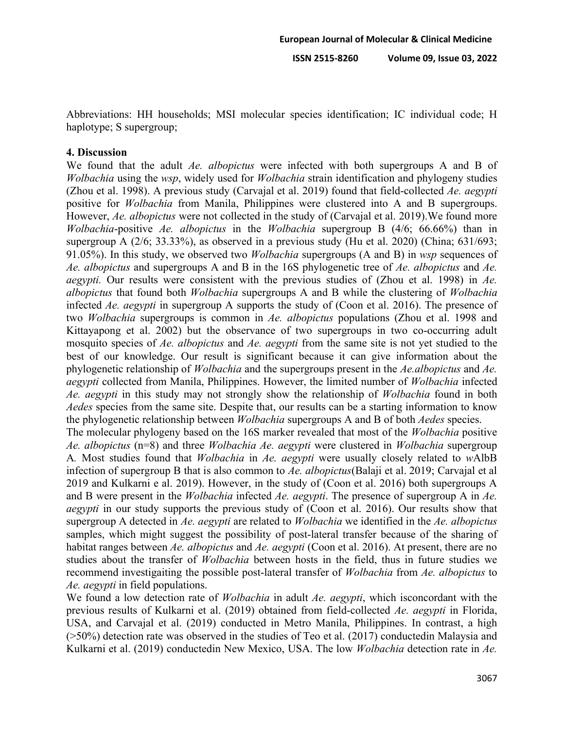Abbreviations: HH households; MSI molecular species identification; IC individual code; H haplotype; S supergroup;

## **4. Discussion**

We found that the adult *Ae. albopictus* were infected with both supergroups A and B of *Wolbachia* using the *wsp*, widely used for *Wolbachia* strain identification and phylogeny studies (Zhou et al. 1998). A previous study (Carvajal et al. 2019) found that field-collected *Ae. aegypti*  positive for *Wolbachia* from Manila, Philippines were clustered into A and B supergroups. However, *Ae. albopictus* were not collected in the study of (Carvajal et al. 2019).We found more *Wolbachia*-positive *Ae. albopictus* in the *Wolbachia* supergroup B (4/6; 66.66%) than in supergroup A (2/6; 33.33%), as observed in a previous study (Hu et al. 2020) (China; 631/693; 91.05%). In this study, we observed two *Wolbachia* supergroups (A and B) in *wsp* sequences of *Ae. albopictus* and supergroups A and B in the 16S phylogenetic tree of *Ae. albopictus* and *Ae. aegypti.* Our results were consistent with the previous studies of (Zhou et al. 1998) in *Ae. albopictus* that found both *Wolbachia* supergroups A and B while the clustering of *Wolbachia* infected *Ae. aegypti* in supergroup A supports the study of (Coon et al. 2016). The presence of two *Wolbachia* supergroups is common in *Ae. albopictus* populations (Zhou et al. 1998 and Kittayapong et al. 2002) but the observance of two supergroups in two co-occurring adult mosquito species of *Ae. albopictus* and *Ae. aegypti* from the same site is not yet studied to the best of our knowledge. Our result is significant because it can give information about the phylogenetic relationship of *Wolbachia* and the supergroups present in the *Ae.albopictus* and *Ae. aegypti* collected from Manila, Philippines. However, the limited number of *Wolbachia* infected *Ae. aegypti* in this study may not strongly show the relationship of *Wolbachia* found in both *Aedes* species from the same site. Despite that, our results can be a starting information to know the phylogenetic relationship between *Wolbachia* supergroups A and B of both *Aedes* species.

The molecular phylogeny based on the 16S marker revealed that most of the *Wolbachia* positive *Ae. albopictus* (n=8) and three *Wolbachia Ae. aegypti* were clustered in *Wolbachia* supergroup A*.* Most studies found that *Wolbachia* in *Ae. aegypti* were usually closely related to *w*AlbB infection of supergroup B that is also common to *Ae. albopictus*(Balaji et al. 2019; Carvajal et al 2019 and Kulkarni e al. 2019). However, in the study of (Coon et al. 2016) both supergroups A and B were present in the *Wolbachia* infected *Ae. aegypti*. The presence of supergroup A in *Ae. aegypti* in our study supports the previous study of (Coon et al. 2016). Our results show that supergroup A detected in *Ae. aegypti* are related to *Wolbachia* we identified in the *Ae. albopictus*  samples, which might suggest the possibility of post-lateral transfer because of the sharing of habitat ranges between *Ae. albopictus* and *Ae. aegypti* (Coon et al. 2016). At present, there are no studies about the transfer of *Wolbachia* between hosts in the field, thus in future studies we recommend investigaiting the possible post-lateral transfer of *Wolbachia* from *Ae. albopictus* to *Ae. aegypti* in field populations.

We found a low detection rate of *Wolbachia* in adult *Ae. aegypti*, which isconcordant with the previous results of Kulkarni et al. (2019) obtained from field-collected *Ae. aegypti* in Florida, USA, and Carvajal et al. (2019) conducted in Metro Manila, Philippines. In contrast, a high (>50%) detection rate was observed in the studies of Teo et al. (2017) conductedin Malaysia and Kulkarni et al. (2019) conductedin New Mexico, USA. The low *Wolbachia* detection rate in *Ae.*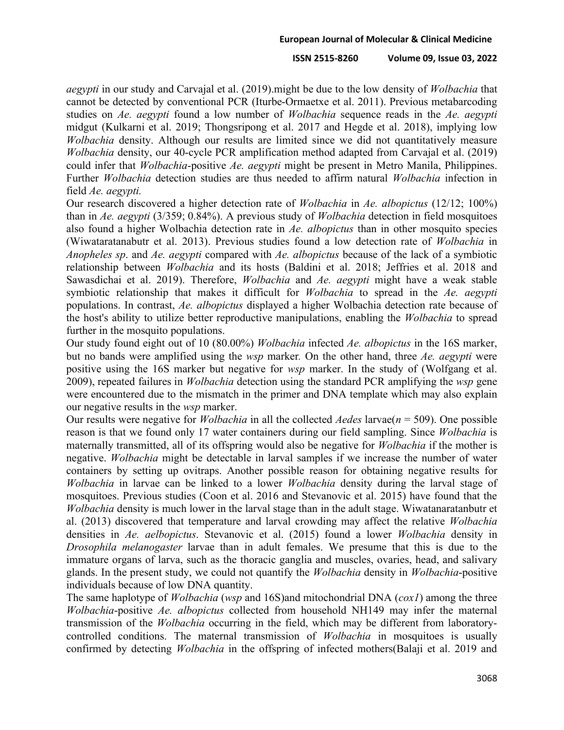## **ISSN 2515-8260 Volume 09, Issue 03, 2022**

*aegypti* in our study and Carvajal et al. (2019).might be due to the low density of *Wolbachia* that cannot be detected by conventional PCR (Iturbe-Ormaetxe et al. 2011). Previous metabarcoding studies on *Ae. aegypti* found a low number of *Wolbachia* sequence reads in the *Ae. aegypti* midgut (Kulkarni et al. 2019; Thongsripong et al. 2017 and Hegde et al. 2018), implying low *Wolbachia* density. Although our results are limited since we did not quantitatively measure *Wolbachia* density, our 40-cycle PCR amplification method adapted from Carvajal et al. (2019) could infer that *Wolbachia*-positive *Ae. aegypti* might be present in Metro Manila, Philippines. Further *Wolbachia* detection studies are thus needed to affirm natural *Wolbachia* infection in field *Ae. aegypti.*

Our research discovered a higher detection rate of *Wolbachia* in *Ae. albopictus* (12/12; 100%) than in *Ae. aegypti* (3/359; 0.84%). A previous study of *Wolbachia* detection in field mosquitoes also found a higher Wolbachia detection rate in *Ae. albopictus* than in other mosquito species (Wiwataratanabutr et al. 2013). Previous studies found a low detection rate of *Wolbachia* in *Anopheles sp*. and *Ae. aegypti* compared with *Ae. albopictus* because of the lack of a symbiotic relationship between *Wolbachia* and its hosts (Baldini et al. 2018; Jeffries et al. 2018 and Sawasdichai et al. 2019). Therefore, *Wolbachia* and *Ae. aegypti* might have a weak stable symbiotic relationship that makes it difficult for *Wolbachia* to spread in the *Ae. aegypti* populations. In contrast, *Ae. albopictus* displayed a higher Wolbachia detection rate because of the host's ability to utilize better reproductive manipulations, enabling the *Wolbachia* to spread further in the mosquito populations.

Our study found eight out of 10 (80.00%) *Wolbachia* infected *Ae. albopictus* in the 16S marker, but no bands were amplified using the *wsp* marker*.* On the other hand, three *Ae. aegypti* were positive using the 16S marker but negative for *wsp* marker. In the study of (Wolfgang et al. 2009), repeated failures in *Wolbachia* detection using the standard PCR amplifying the *wsp* gene were encountered due to the mismatch in the primer and DNA template which may also explain our negative results in the *wsp* marker.

Our results were negative for *Wolbachia* in all the collected *Aedes* larvae(*n* = 509). One possible reason is that we found only 17 water containers during our field sampling. Since *Wolbachia* is maternally transmitted, all of its offspring would also be negative for *Wolbachia* if the mother is negative. *Wolbachia* might be detectable in larval samples if we increase the number of water containers by setting up ovitraps. Another possible reason for obtaining negative results for *Wolbachia* in larvae can be linked to a lower *Wolbachia* density during the larval stage of mosquitoes. Previous studies (Coon et al. 2016 and Stevanovic et al. 2015) have found that the *Wolbachia* density is much lower in the larval stage than in the adult stage. Wiwatanaratanbutr et al. (2013) discovered that temperature and larval crowding may affect the relative *Wolbachia* densities in *Ae. aelbopictus*. Stevanovic et al. (2015) found a lower *Wolbachia* density in *Drosophila melanogaster* larvae than in adult females. We presume that this is due to the immature organs of larva, such as the thoracic ganglia and muscles, ovaries, head, and salivary glands. In the present study, we could not quantify the *Wolbachia* density in *Wolbachia*-positive individuals because of low DNA quantity.

The same haplotype of *Wolbachia* (*wsp* and 16S)and mitochondrial DNA (*cox1*) among the three *Wolbachia*-positive *Ae. albopictus* collected from household NH149 may infer the maternal transmission of the *Wolbachia* occurring in the field, which may be different from laboratorycontrolled conditions. The maternal transmission of *Wolbachia* in mosquitoes is usually confirmed by detecting *Wolbachia* in the offspring of infected mothers(Balaji et al. 2019 and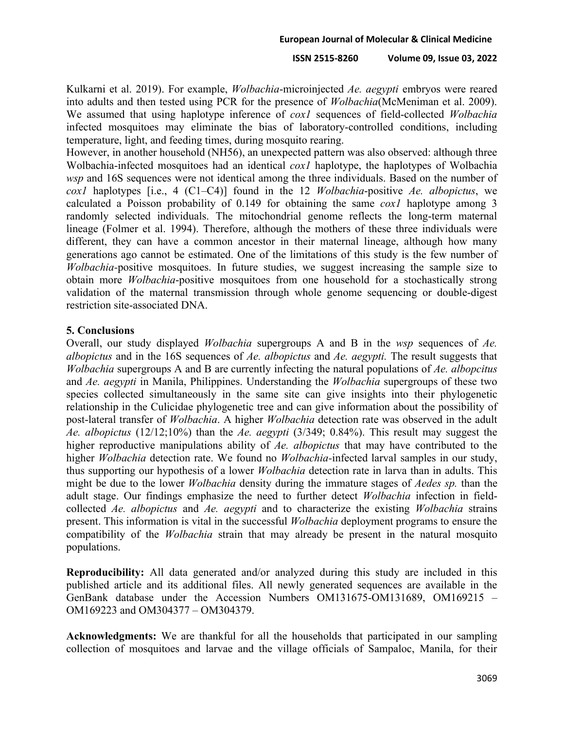Kulkarni et al. 2019). For example, *Wolbachia*-microinjected *Ae. aegypti* embryos were reared into adults and then tested using PCR for the presence of *Wolbachia*(McMeniman et al. 2009). We assumed that using haplotype inference of *cox1* sequences of field-collected *Wolbachia*  infected mosquitoes may eliminate the bias of laboratory-controlled conditions, including temperature, light, and feeding times, during mosquito rearing.

However, in another household (NH56), an unexpected pattern was also observed: although three Wolbachia-infected mosquitoes had an identical *cox1* haplotype, the haplotypes of Wolbachia *wsp* and 16S sequences were not identical among the three individuals. Based on the number of *cox1* haplotypes [i.e., 4 (C1–C4)] found in the 12 *Wolbachia*-positive *Ae. albopictus*, we calculated a Poisson probability of 0.149 for obtaining the same *cox1* haplotype among 3 randomly selected individuals. The mitochondrial genome reflects the long-term maternal lineage (Folmer et al. 1994). Therefore, although the mothers of these three individuals were different, they can have a common ancestor in their maternal lineage, although how many generations ago cannot be estimated. One of the limitations of this study is the few number of *Wolbachia-*positive mosquitoes. In future studies, we suggest increasing the sample size to obtain more *Wolbachia*-positive mosquitoes from one household for a stochastically strong validation of the maternal transmission through whole genome sequencing or double-digest restriction site-associated DNA.

## **5. Conclusions**

Overall, our study displayed *Wolbachia* supergroups A and B in the *wsp* sequences of *Ae. albopictus* and in the 16S sequences of *Ae. albopictus* and *Ae. aegypti.* The result suggests that *Wolbachia* supergroups A and B are currently infecting the natural populations of *Ae. albopcitus*  and *Ae. aegypti* in Manila, Philippines. Understanding the *Wolbachia* supergroups of these two species collected simultaneously in the same site can give insights into their phylogenetic relationship in the Culicidae phylogenetic tree and can give information about the possibility of post-lateral transfer of *Wolbachia*. A higher *Wolbachia* detection rate was observed in the adult *Ae. albopictus* (12/12;10%) than the *Ae. aegypti* (3/349; 0.84%). This result may suggest the higher reproductive manipulations ability of *Ae. albopictus* that may have contributed to the higher *Wolbachia* detection rate. We found no *Wolbachia-*infected larval samples in our study, thus supporting our hypothesis of a lower *Wolbachia* detection rate in larva than in adults. This might be due to the lower *Wolbachia* density during the immature stages of *Aedes sp.* than the adult stage. Our findings emphasize the need to further detect *Wolbachia* infection in fieldcollected *Ae. albopictus* and *Ae. aegypti* and to characterize the existing *Wolbachia* strains present. This information is vital in the successful *Wolbachia* deployment programs to ensure the compatibility of the *Wolbachia* strain that may already be present in the natural mosquito populations.

**Reproducibility:** All data generated and/or analyzed during this study are included in this published article and its additional files. All newly generated sequences are available in the GenBank database under the Accession Numbers OM131675-OM131689, OM169215 – OM169223 and OM304377 – OM304379.

**Acknowledgments:** We are thankful for all the households that participated in our sampling collection of mosquitoes and larvae and the village officials of Sampaloc, Manila, for their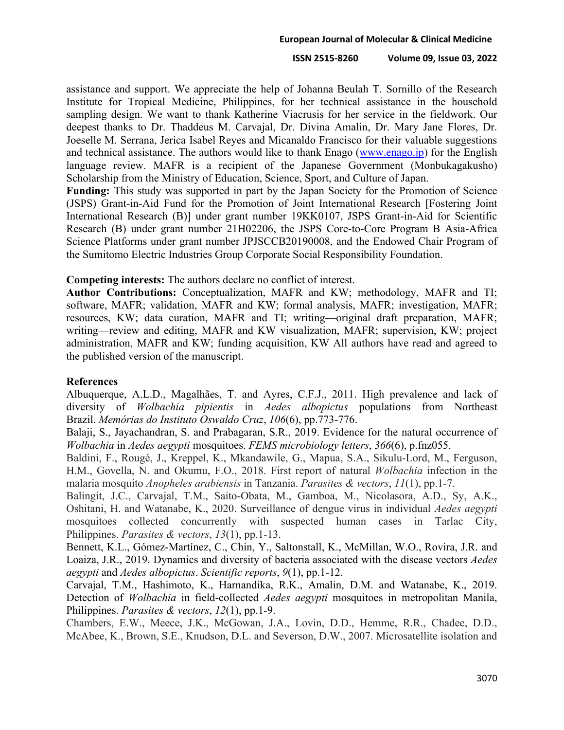## **ISSN 2515-8260 Volume 09, Issue 03, 2022**

assistance and support. We appreciate the help of Johanna Beulah T. Sornillo of the Research Institute for Tropical Medicine, Philippines, for her technical assistance in the household sampling design. We want to thank Katherine Viacrusis for her service in the fieldwork. Our deepest thanks to Dr. Thaddeus M. Carvajal, Dr. Divina Amalin, Dr. Mary Jane Flores, Dr. Joeselle M. Serrana, Jerica Isabel Reyes and Micanaldo Francisco for their valuable suggestions and technical assistance. The authors would like to thank Enago [\(www.enago.jp\)](http://www.enago.jp/) for the English language review. MAFR is a recipient of the Japanese Government (Monbukagakusho) Scholarship from the Ministry of Education, Science, Sport, and Culture of Japan.

Funding: This study was supported in part by the Japan Society for the Promotion of Science (JSPS) Grant-in-Aid Fund for the Promotion of Joint International Research [Fostering Joint International Research (B)] under grant number 19KK0107, JSPS Grant-in-Aid for Scientific Research (B) under grant number 21H02206, the JSPS Core-to-Core Program B Asia-Africa Science Platforms under grant number JPJSCCB20190008, and the Endowed Chair Program of the Sumitomo Electric Industries Group Corporate Social Responsibility Foundation.

**Competing interests:** The authors declare no conflict of interest.

**Author Contributions:** Conceptualization, MAFR and KW; methodology, MAFR and TI; software, MAFR; validation, MAFR and KW; formal analysis, MAFR; investigation, MAFR; resources, KW; data curation, MAFR and TI; writing—original draft preparation, MAFR; writing—review and editing, MAFR and KW visualization, MAFR; supervision, KW; project administration, MAFR and KW; funding acquisition, KW All authors have read and agreed to the published version of the manuscript.

## **References**

Albuquerque, A.L.D., Magalhães, T. and Ayres, C.F.J., 2011. High prevalence and lack of diversity of *Wolbachia pipientis* in *Aedes albopictus* populations from Northeast Brazil. *Memórias do Instituto Oswaldo Cruz*, *106*(6), pp.773-776.

Balaji, S., Jayachandran, S. and Prabagaran, S.R., 2019. Evidence for the natural occurrence of *Wolbachia* in *Aedes aegypti* mosquitoes. *FEMS microbiology letters*, *366*(6), p.fnz055.

Baldini, F., Rougé, J., Kreppel, K., Mkandawile, G., Mapua, S.A., Sikulu-Lord, M., Ferguson, H.M., Govella, N. and Okumu, F.O., 2018. First report of natural *Wolbachia* infection in the malaria mosquito *Anopheles arabiensis* in Tanzania. *Parasites & vectors*, *11*(1), pp.1-7.

Balingit, J.C., Carvajal, T.M., Saito-Obata, M., Gamboa, M., Nicolasora, A.D., Sy, A.K., Oshitani, H. and Watanabe, K., 2020. Surveillance of dengue virus in individual *Aedes aegypti* mosquitoes collected concurrently with suspected human cases in Tarlac City, Philippines. *Parasites & vectors*, *13*(1), pp.1-13.

Bennett, K.L., Gómez-Martínez, C., Chin, Y., Saltonstall, K., McMillan, W.O., Rovira, J.R. and Loaiza, J.R., 2019. Dynamics and diversity of bacteria associated with the disease vectors *Aedes aegypti* and *Aedes albopictus*. *Scientific reports*, *9*(1), pp.1-12.

Carvajal, T.M., Hashimoto, K., Harnandika, R.K., Amalin, D.M. and Watanabe, K., 2019. Detection of *Wolbachia* in field-collected *Aedes aegypti* mosquitoes in metropolitan Manila, Philippines. *Parasites & vectors*, *12*(1), pp.1-9.

Chambers, E.W., Meece, J.K., McGowan, J.A., Lovin, D.D., Hemme, R.R., Chadee, D.D., McAbee, K., Brown, S.E., Knudson, D.L. and Severson, D.W., 2007. Microsatellite isolation and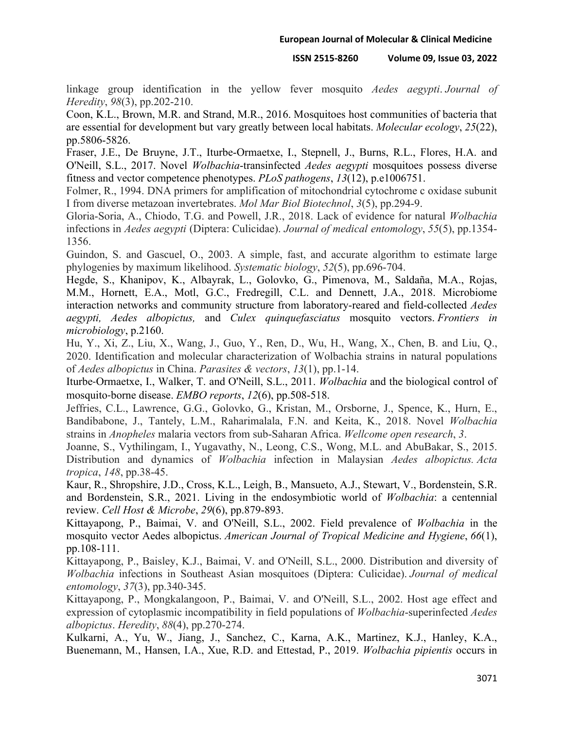linkage group identification in the yellow fever mosquito *Aedes aegypti*. *Journal of Heredity*, *98*(3), pp.202-210.

Coon, K.L., Brown, M.R. and Strand, M.R., 2016. Mosquitoes host communities of bacteria that are essential for development but vary greatly between local habitats. *Molecular ecology*, *25*(22), pp.5806-5826.

Fraser, J.E., De Bruyne, J.T., Iturbe-Ormaetxe, I., Stepnell, J., Burns, R.L., Flores, H.A. and O'Neill, S.L., 2017. Novel *Wolbachia*-transinfected *Aedes aegypti* mosquitoes possess diverse fitness and vector competence phenotypes. *PLoS pathogens*, *13*(12), p.e1006751.

Folmer, R., 1994. DNA primers for amplification of mitochondrial cytochrome c oxidase subunit I from diverse metazoan invertebrates. *Mol Mar Biol Biotechnol*, *3*(5), pp.294-9.

Gloria-Soria, A., Chiodo, T.G. and Powell, J.R., 2018. Lack of evidence for natural *Wolbachia* infections in *Aedes aegypti* (Diptera: Culicidae). *Journal of medical entomology*, *55*(5), pp.1354- 1356.

Guindon, S. and Gascuel, O., 2003. A simple, fast, and accurate algorithm to estimate large phylogenies by maximum likelihood. *Systematic biology*, *52*(5), pp.696-704.

Hegde, S., Khanipov, K., Albayrak, L., Golovko, G., Pimenova, M., Saldaña, M.A., Rojas, M.M., Hornett, E.A., Motl, G.C., Fredregill, C.L. and Dennett, J.A., 2018. Microbiome interaction networks and community structure from laboratory-reared and field-collected *Aedes aegypti, Aedes albopictus,* and *Culex quinquefasciatus* mosquito vectors. *Frontiers in microbiology*, p.2160.

Hu, Y., Xi, Z., Liu, X., Wang, J., Guo, Y., Ren, D., Wu, H., Wang, X., Chen, B. and Liu, Q., 2020. Identification and molecular characterization of Wolbachia strains in natural populations of *Aedes albopictus* in China. *Parasites & vectors*, *13*(1), pp.1-14.

Iturbe-Ormaetxe, I., Walker, T. and O'Neill, S.L., 2011. *Wolbachia* and the biological control of mosquito-borne disease. *EMBO reports*, *12*(6), pp.508-518.

Jeffries, C.L., Lawrence, G.G., Golovko, G., Kristan, M., Orsborne, J., Spence, K., Hurn, E., Bandibabone, J., Tantely, L.M., Raharimalala, F.N. and Keita, K., 2018. Novel *Wolbachia* strains in *Anopheles* malaria vectors from sub-Saharan Africa. *Wellcome open research*, *3*.

Joanne, S., Vythilingam, I., Yugavathy, N., Leong, C.S., Wong, M.L. and AbuBakar, S., 2015. Distribution and dynamics of *Wolbachia* infection in Malaysian *Aedes albopictus. Acta tropica*, *148*, pp.38-45.

Kaur, R., Shropshire, J.D., Cross, K.L., Leigh, B., Mansueto, A.J., Stewart, V., Bordenstein, S.R. and Bordenstein, S.R., 2021. Living in the endosymbiotic world of *Wolbachia*: a centennial review. *Cell Host & Microbe*, *29*(6), pp.879-893.

Kittayapong, P., Baimai, V. and O'Neill, S.L., 2002. Field prevalence of *Wolbachia* in the mosquito vector Aedes albopictus. *American Journal of Tropical Medicine and Hygiene*, *66*(1), pp.108-111.

Kittayapong, P., Baisley, K.J., Baimai, V. and O'Neill, S.L., 2000. Distribution and diversity of *Wolbachia* infections in Southeast Asian mosquitoes (Diptera: Culicidae). *Journal of medical entomology*, *37*(3), pp.340-345.

Kittayapong, P., Mongkalangoon, P., Baimai, V. and O'Neill, S.L., 2002. Host age effect and expression of cytoplasmic incompatibility in field populations of *Wolbachia*-superinfected *Aedes albopictus*. *Heredity*, *88*(4), pp.270-274.

Kulkarni, A., Yu, W., Jiang, J., Sanchez, C., Karna, A.K., Martinez, K.J., Hanley, K.A., Buenemann, M., Hansen, I.A., Xue, R.D. and Ettestad, P., 2019. *Wolbachia pipientis* occurs in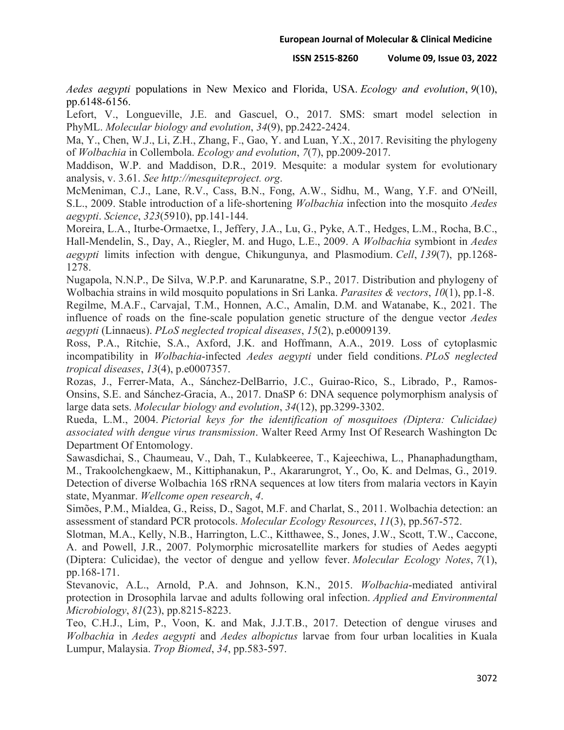*Aedes aegypti* populations in New Mexico and Florida, USA. *Ecology and evolution*, *9*(10), pp.6148-6156.

Lefort, V., Longueville, J.E. and Gascuel, O., 2017. SMS: smart model selection in PhyML. *Molecular biology and evolution*, *34*(9), pp.2422-2424.

Ma, Y., Chen, W.J., Li, Z.H., Zhang, F., Gao, Y. and Luan, Y.X., 2017. Revisiting the phylogeny of *Wolbachia* in Collembola. *Ecology and evolution*, *7*(7), pp.2009-2017.

Maddison, W.P. and Maddison, D.R., 2019. Mesquite: a modular system for evolutionary analysis, v. 3.61. *See http://mesquiteproject. org*.

McMeniman, C.J., Lane, R.V., Cass, B.N., Fong, A.W., Sidhu, M., Wang, Y.F. and O'Neill, S.L., 2009. Stable introduction of a life-shortening *Wolbachia* infection into the mosquito *Aedes aegypti*. *Science*, *323*(5910), pp.141-144.

Moreira, L.A., Iturbe-Ormaetxe, I., Jeffery, J.A., Lu, G., Pyke, A.T., Hedges, L.M., Rocha, B.C., Hall-Mendelin, S., Day, A., Riegler, M. and Hugo, L.E., 2009. A *Wolbachia* symbiont in *Aedes aegypti* limits infection with dengue, Chikungunya, and Plasmodium. *Cell*, *139*(7), pp.1268- 1278.

Nugapola, N.N.P., De Silva, W.P.P. and Karunaratne, S.P., 2017. Distribution and phylogeny of Wolbachia strains in wild mosquito populations in Sri Lanka. *Parasites & vectors*, *10*(1), pp.1-8.

Regilme, M.A.F., Carvajal, T.M., Honnen, A.C., Amalin, D.M. and Watanabe, K., 2021. The influence of roads on the fine-scale population genetic structure of the dengue vector *Aedes aegypti* (Linnaeus). *PLoS neglected tropical diseases*, *15*(2), p.e0009139.

Ross, P.A., Ritchie, S.A., Axford, J.K. and Hoffmann, A.A., 2019. Loss of cytoplasmic incompatibility in *Wolbachia*-infected *Aedes aegypti* under field conditions. *PLoS neglected tropical diseases*, *13*(4), p.e0007357.

Rozas, J., Ferrer-Mata, A., Sánchez-DelBarrio, J.C., Guirao-Rico, S., Librado, P., Ramos-Onsins, S.E. and Sánchez-Gracia, A., 2017. DnaSP 6: DNA sequence polymorphism analysis of large data sets. *Molecular biology and evolution*, *34*(12), pp.3299-3302.

Rueda, L.M., 2004. *Pictorial keys for the identification of mosquitoes (Diptera: Culicidae) associated with dengue virus transmission*. Walter Reed Army Inst Of Research Washington Dc Department Of Entomology.

Sawasdichai, S., Chaumeau, V., Dah, T., Kulabkeeree, T., Kajeechiwa, L., Phanaphadungtham, M., Trakoolchengkaew, M., Kittiphanakun, P., Akararungrot, Y., Oo, K. and Delmas, G., 2019. Detection of diverse Wolbachia 16S rRNA sequences at low titers from malaria vectors in Kayin state, Myanmar. *Wellcome open research*, *4*.

Simões, P.M., Mialdea, G., Reiss, D., Sagot, M.F. and Charlat, S., 2011. Wolbachia detection: an assessment of standard PCR protocols. *Molecular Ecology Resources*, *11*(3), pp.567-572.

Slotman, M.A., Kelly, N.B., Harrington, L.C., Kitthawee, S., Jones, J.W., Scott, T.W., Caccone, A. and Powell, J.R., 2007. Polymorphic microsatellite markers for studies of Aedes aegypti (Diptera: Culicidae), the vector of dengue and yellow fever. *Molecular Ecology Notes*, *7*(1), pp.168-171.

Stevanovic, A.L., Arnold, P.A. and Johnson, K.N., 2015. *Wolbachia*-mediated antiviral protection in Drosophila larvae and adults following oral infection. *Applied and Environmental Microbiology*, *81*(23), pp.8215-8223.

Teo, C.H.J., Lim, P., Voon, K. and Mak, J.J.T.B., 2017. Detection of dengue viruses and *Wolbachia* in *Aedes aegypti* and *Aedes albopictus* larvae from four urban localities in Kuala Lumpur, Malaysia. *Trop Biomed*, *34*, pp.583-597.